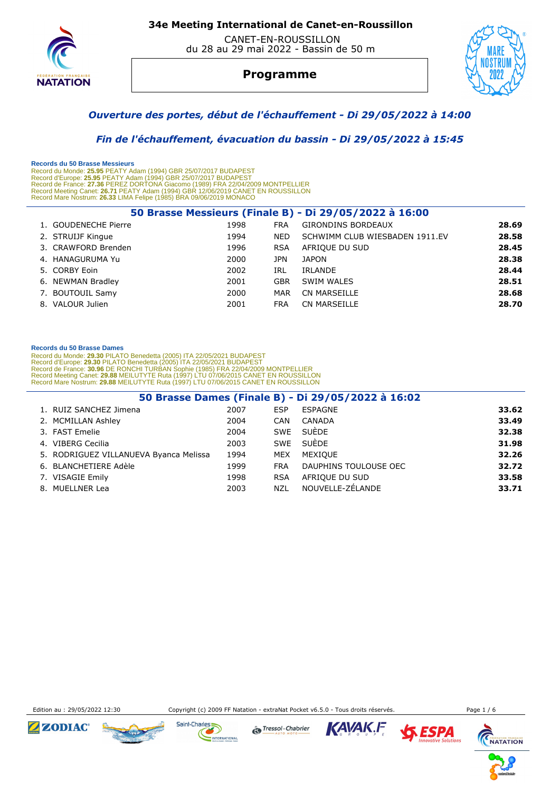

 CANET-EN-ROUSSILLON du 28 au 29 mai 2022 - Bassin de 50 m



## **Programme**



### *Ouverture des portes, début de l'échauffement - Di 29/05/2022 à 14:00*

 *Fin de l'échauffement, évacuation du bassin - Di 29/05/2022 à 15:45* 

 **Records du 50 Brasse Messieurs** 

Record du Monde: 25.95 PEATY Adam (1994) GBR 25/07/2017 BUDAPEST<br>Record d'Europe: 25.95 PEATY Adam (1994) GBR 25/07/2017 BUDAPEST<br>Record de France: 27.36 PEREZ DORTONA Giacomo (1989) FRA 22/04/2009 MONTPELLIER<br>Record Meeti Record Mare Nostrum: **26.33** LIMA Felipe (1985) BRA 09/06/2019 MONACO

| 50 Brasse Messieurs (Finale B) - Di 29/05/2022 à 16:00 |      |            |                                |       |  |  |  |
|--------------------------------------------------------|------|------------|--------------------------------|-------|--|--|--|
| 1. GOUDENECHE Pierre                                   | 1998 | <b>FRA</b> | <b>GIRONDINS BORDEAUX</b>      | 28.69 |  |  |  |
| 2. STRUIJF Kingue                                      | 1994 | NED.       | SCHWIMM CLUB WIESBADEN 1911.EV | 28.58 |  |  |  |
| 3. CRAWFORD Brenden                                    | 1996 | <b>RSA</b> | AFRIQUE DU SUD                 | 28.45 |  |  |  |
| 4. HANAGURUMA Yu                                       | 2000 | JPN.       | JAPON                          | 28.38 |  |  |  |
| 5. CORBY Eoin                                          | 2002 | IRL        | IRLANDE                        | 28.44 |  |  |  |
| 6. NEWMAN Bradley                                      | 2001 | <b>GBR</b> | <b>SWIM WALES</b>              | 28.51 |  |  |  |
| 7. BOUTOUIL Samy                                       | 2000 | MAR        | CN MARSEILLE                   | 28.68 |  |  |  |
| 8. VALOUR Julien                                       | 2001 | <b>FRA</b> | CN MARSEILLE                   | 28.70 |  |  |  |

### **Records du 50 Brasse Dames**

Record du Monde: 29.30 PILATO Benedetta (2005) ITA 22/05/2021 BUDAPEST<br>Record d'Europe: 29.30 PILATO Benedetta (2005) ITA 22/05/2021 BUDAPEST<br>Record de France: 30.96 DE RONCHI TURBAN Sophie (1985) FRA 22/04/2009<br>Record Mee

| 50 Brasse Dames (Finale B) - Di 29/05/2022 à 16:02 |      |            |                       |       |  |  |
|----------------------------------------------------|------|------------|-----------------------|-------|--|--|
| 1. RUIZ SANCHEZ Jimena                             | 2007 | <b>ESP</b> | <b>ESPAGNE</b>        | 33.62 |  |  |
| 2. MCMILLAN Ashley                                 | 2004 | CAN        | CANADA                | 33.49 |  |  |
| 3. FAST Emelie                                     | 2004 | SWE        | SUÈDE                 | 32.38 |  |  |
| 4. VIBERG Cecilia                                  | 2003 | SWE        | SUÈDE                 | 31.98 |  |  |
| 5. RODRIGUEZ VILLANUEVA Byanca Melissa             | 1994 | MEX        | MEXIOUE               | 32.26 |  |  |
| 6. BLANCHETIERE Adèle                              | 1999 | <b>FRA</b> | DAUPHINS TOULOUSE OEC | 32.72 |  |  |
| 7. VISAGIE Emily                                   | 1998 | <b>RSA</b> | AFRIQUE DU SUD        | 33.58 |  |  |
| 8. MUELLNER Lea                                    | 2003 | NZL        | NOUVELLE-ZÉLANDE      | 33.71 |  |  |

Edition au : 29/05/2022 12:30 Copyright (c) 2009 FF Natation - extraNat Pocket v6.5.0 - Tous droits réservés. Page 1 / 6









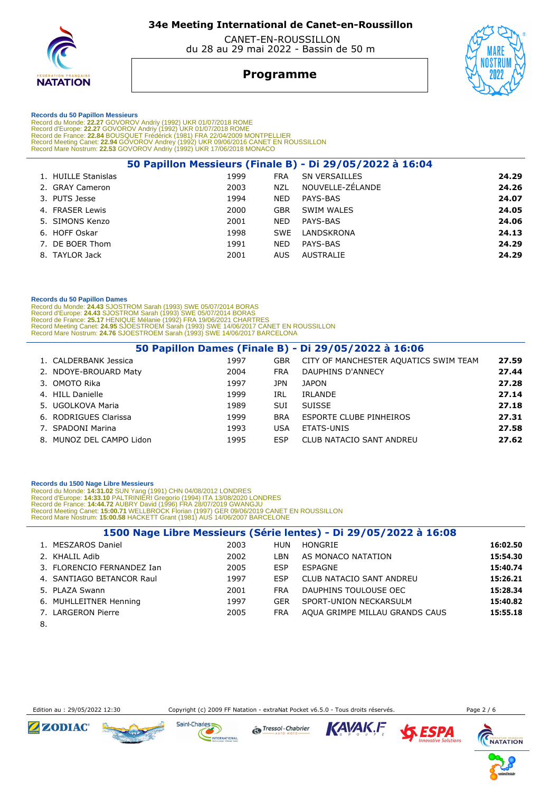

 CANET-EN-ROUSSILLON du 28 au 29 mai 2022 - Bassin de 50 m

## **Programme**



#### **Records du 50 Papillon Messieurs**

Record du Monde: 22.27 GOVOROV Andriy (1992) UKR 01/07/2018 ROME<br>Record d'Europe: 22.27 GOVOROV Andriy (1992) UKR 01/07/2018 ROME<br>Record de France: 22.84 BOUSQUET Frédérick (1981) FRA 22/04/2009 MONTPELLIER<br>Record Meeting

|                     |      |            | 50 Papillon Messieurs (Finale B) - Di 29/05/2022 à 16:04 |       |
|---------------------|------|------------|----------------------------------------------------------|-------|
| 1. HUILLE Stanislas | 1999 | <b>FRA</b> | <b>SN VERSAILLES</b>                                     | 24.29 |
| 2. GRAY Cameron     | 2003 | <b>NZL</b> | NOUVELLE-ZÉLANDE                                         | 24.26 |
| 3. PUTS Jesse       | 1994 | <b>NED</b> | PAYS-BAS                                                 | 24.07 |
| 4. FRASER Lewis     | 2000 | <b>GBR</b> | SWIM WALES                                               | 24.05 |
| 5. SIMONS Kenzo     | 2001 | <b>NED</b> | PAYS-BAS                                                 | 24.06 |
| 6. HOFF Oskar       | 1998 | <b>SWE</b> | LANDSKRONA                                               | 24.13 |
| 7. DE BOER Thom     | 1991 | <b>NED</b> | PAYS-BAS                                                 | 24.29 |
| 8. TAYLOR Jack      | 2001 | AUS.       | AUSTRALIE                                                | 24.29 |
|                     |      |            |                                                          |       |

#### **Records du 50 Papillon Dames**

Record du Monde: 24.43 SJOSTROM Sarah (1993) SWE 05/07/2014 BORAS<br>Record d'Europe: 24.43 SJOSTROM Sarah (1993) SWE 05/07/2014 BORAS<br>Record de France: 25.17 HENIQUE Mélanie (1992) FRA 19/06/2021 CHARTRES<br>Record Meeting Cane

| 50 Papillon Dames (Finale B) - Di 29/05/2022 à 16:06 |      |            |                                       |       |  |  |  |
|------------------------------------------------------|------|------------|---------------------------------------|-------|--|--|--|
| 1. CALDERBANK Jessica                                | 1997 | <b>GBR</b> | CITY OF MANCHESTER AQUATICS SWIM TEAM | 27.59 |  |  |  |
| 2. NDOYE-BROUARD Maty                                | 2004 | <b>FRA</b> | DAUPHINS D'ANNECY                     | 27.44 |  |  |  |
| 3. OMOTO Rika                                        | 1997 | JPN        | <b>JAPON</b>                          | 27.28 |  |  |  |
| 4. HILL Danielle                                     | 1999 | IRL        | <b>IRLANDE</b>                        | 27.14 |  |  |  |
| 5. UGOLKOVA Maria                                    | 1989 | <b>SUI</b> | <b>SUISSE</b>                         | 27.18 |  |  |  |
| 6. RODRIGUES Clarissa                                | 1999 | <b>BRA</b> | ESPORTE CLUBE PINHEIROS               | 27.31 |  |  |  |
| 7. SPADONI Marina                                    | 1993 | <b>USA</b> | ETATS-UNIS                            | 27.58 |  |  |  |
| 8. MUNOZ DEL CAMPO Lidon                             | 1995 | <b>ESP</b> | CLUB NATACIO SANT ANDREU              | 27.62 |  |  |  |

### **Records du 1500 Nage Libre Messieurs**

Record du Monde: 14:31.02 SUN Yang (1991) CHN 04/08/2012 LONDRES<br>Record d'Europe: 14:33.10 PALTRINIERI Gregorio (1994) ITA 13/08/2020 LONDRES<br>Record de France: 14:44.72 AUBRY David (1996) FRA 28/07/2019 GWANGJU<br>Record Meet

| 1500 Nage Libre Messieurs (Série lentes) - Di 29/05/2022 à 16:08 |      |            |                                 |          |  |  |
|------------------------------------------------------------------|------|------------|---------------------------------|----------|--|--|
| 1. MESZAROS Daniel                                               | 2003 | HUN        | HONGRIE                         | 16:02.50 |  |  |
| 2. KHALIL Adib                                                   | 2002 | LBN        | AS MONACO NATATION              | 15:54.30 |  |  |
| 3. FLORENCIO FERNANDEZ Ian                                       | 2005 | <b>ESP</b> | ESPAGNE                         | 15:40.74 |  |  |
| 4. SANTIAGO BETANCOR Raul                                        | 1997 | <b>FSP</b> | <b>CLUB NATACIO SANT ANDREU</b> | 15:26.21 |  |  |
| 5. PLAZA Swann                                                   | 2001 | <b>FRA</b> | DAUPHINS TOULOUSE OEC           | 15:28.34 |  |  |
| 6. MUHLLEITNER Henning                                           | 1997 | <b>GER</b> | SPORT-UNION NECKARSULM          | 15:40.82 |  |  |
| 7. LARGERON Pierre                                               | 2005 | <b>FRA</b> | AQUA GRIMPE MILLAU GRANDS CAUS  | 15:55.18 |  |  |

8.

Edition au : 29/05/2022 12:30 Copyright (c) 2009 FF Natation - extraNat Pocket v6.5.0 - Tous droits réservés. Page 2 / 6











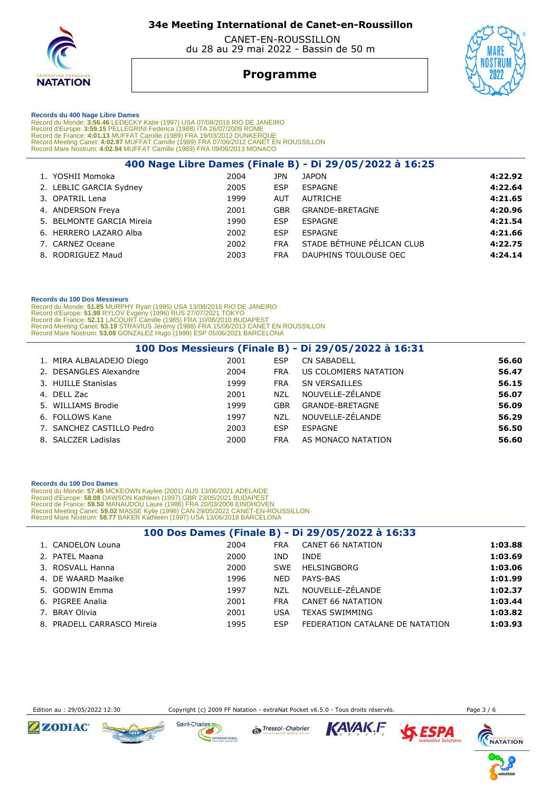

 CANET-EN-ROUSSILLON du 28 au 29 mai 2022 - Bassin de 50 m

## **Programme**



### **Records du 400 Nage Libre Dames**

Record du Monde: 3:56.46 LEDECKY Katie (1997) USA 07/08/2016 RIO DE JANEIRO<br>Record d'Europe: 3:59.15 PELLEGRINI Federica (1988) ITA 26/07/2009 ROME<br>Record de France: 4:01.13 MUFFAT Camille (1989) FRA 19/03/2012 DUNKERQUE<br>R

|                           |      |            | 400 Nage Libre Dames (Finale B) - Di 29/05/2022 à 16:25 |         |
|---------------------------|------|------------|---------------------------------------------------------|---------|
| 1. YOSHII Momoka          | 2004 | JPN        | <b>JAPON</b>                                            | 4:22.92 |
| 2. LEBLIC GARCIA Sydney   | 2005 | <b>ESP</b> | ESPAGNE                                                 | 4:22.64 |
| 3. OPATRIL Lena           | 1999 | AUT        | <b>AUTRICHE</b>                                         | 4:21.65 |
| 4. ANDERSON Freya         | 2001 | <b>GBR</b> | GRANDE-BRETAGNE                                         | 4:20.96 |
| 5. BELMONTE GARCIA Mireia | 1990 | <b>ESP</b> | ESPAGNE                                                 | 4:21.54 |
| 6. HERRERO LAZARO Alba    | 2002 | <b>ESP</b> | ESPAGNE                                                 | 4:21.66 |
| 7. CARNEZ Oceane          | 2002 | <b>FRA</b> | STADE BÉTHUNE PÉLICAN CLUB                              | 4:22.75 |
| 8. RODRIGUEZ Maud         | 2003 | <b>FRA</b> | DAUPHINS TOULOUSE OEC                                   | 4:24.14 |
|                           |      |            |                                                         |         |

#### **Records du 100 Dos Messieurs**

Record du Monde: 51.85 MURPHY Ryan (1995) USA 13/08/2016 RIO DE JANEIRO<br>Record d'Europe: 51.98 RYLOV Evgeny (1996) RUS 27/07/2021 TOKYO<br>Record de France: 52.11 LACOURT Camille (1985) FRA 10/08/2010 BUDAPEST<br>Record Meeting

| 100 Dos Messieurs (Finale B) - Di 29/05/2022 à 16:31 |      |            |                       |       |  |  |  |
|------------------------------------------------------|------|------------|-----------------------|-------|--|--|--|
| 1. MIRA ALBALADEJO Diego                             | 2001 | <b>ESP</b> | <b>CN SABADELL</b>    | 56.60 |  |  |  |
| 2. DESANGLES Alexandre                               | 2004 | <b>FRA</b> | US COLOMIERS NATATION | 56.47 |  |  |  |
| 3. HUILLE Stanislas                                  | 1999 | <b>FRA</b> | <b>SN VERSAILLES</b>  | 56.15 |  |  |  |
| 4. DELL Zac                                          | 2001 | <b>NZL</b> | NOUVELLE-ZÉLANDE      | 56.07 |  |  |  |
| 5. WILLIAMS Brodie                                   | 1999 | <b>GBR</b> | GRANDE-BRETAGNE       | 56.09 |  |  |  |
| 6. FOLLOWS Kane                                      | 1997 | <b>NZL</b> | NOUVELLE-ZÉLANDE      | 56.29 |  |  |  |
| 7. SANCHEZ CASTILLO Pedro                            | 2003 | <b>ESP</b> | ESPAGNE               | 56.50 |  |  |  |
| 8. SALCZER Ladislas                                  | 2000 | <b>FRA</b> | AS MONACO NATATION    | 56.60 |  |  |  |

#### **Records du 100 Dos Dames**

Record du Monde: 57.45 MCKEOWN Kaylee (2001) AUS 13/06/2021 ADELAIDE<br>Record d'Europe: 58.08 DAWSON Kathleen (1997) GBR 23/05/2021 BUDAPEST<br>Record de France: 59.50 MANAUDOU Laure (1996) FRA 20/03/2008 EINDHOVEN<br>Record Meeti

| 100 Dos Dames (Finale B) - Di 29/05/2022 à 16:33 |      |            |                                 |         |  |  |
|--------------------------------------------------|------|------------|---------------------------------|---------|--|--|
| 1. CANDELON Louna                                | 2004 | <b>FRA</b> | <b>CANET 66 NATATION</b>        | 1:03.88 |  |  |
| 2. PATEL Maana                                   | 2000 | IND.       | <b>INDE</b>                     | 1:03.69 |  |  |
| 3. ROSVALL Hanna                                 | 2000 | <b>SWE</b> | <b>HELSINGBORG</b>              | 1:03.06 |  |  |
| 4. DE WAARD Maaike                               | 1996 | <b>NED</b> | PAYS-BAS                        | 1:01.99 |  |  |
| 5. GODWIN Emma                                   | 1997 | <b>NZL</b> | NOUVELLE-ZÉLANDE                | 1:02.37 |  |  |
| 6. PIGREE Analia                                 | 2001 | <b>FRA</b> | CANET 66 NATATION               | 1:03.44 |  |  |
| 7. BRAY Olivia                                   | 2001 | <b>USA</b> | <b>TEXAS SWIMMING</b>           | 1:03.82 |  |  |
| 8. PRADELL CARRASCO Mireia                       | 1995 | <b>ESP</b> | FEDERATION CATALANE DE NATATION | 1:03.93 |  |  |

Edition au : 29/05/2022 12:30 Copyright (c) 2009 FF Natation - extraNat Pocket v6.5.0 - Tous droits réservés. Page 3 / 6









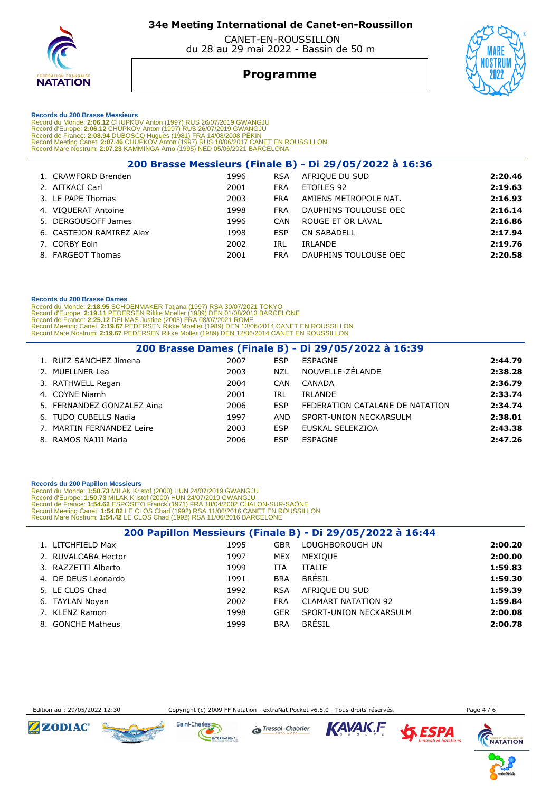

 CANET-EN-ROUSSILLON du 28 au 29 mai 2022 - Bassin de 50 m

## **Programme**



#### **Records du 200 Brasse Messieurs**

Record du Monde: 2:06.12 CHUPKOV Anton (1997) RUS 26/07/2019 GWANGJU<br>Record d'Europe: 2:06.12 CHUPKOV Anton (1997) RUS 26/07/2019 GWANGJU<br>Record de France: 2:08.94 DUBOSCQ Hugues (1981) FRA 14/08/2008 PÉKIN<br>Record Meeting

|                          |      |            | 200 Brasse Messieurs (Finale B) - Di 29/05/2022 à 16:36 |         |
|--------------------------|------|------------|---------------------------------------------------------|---------|
| 1. CRAWFORD Brenden      | 1996 | <b>RSA</b> | AFRIQUE DU SUD                                          | 2:20.46 |
| 2. AITKACI Carl          | 2001 | <b>FRA</b> | ETOILES 92                                              | 2:19.63 |
| 3. LE PAPE Thomas        | 2003 | <b>FRA</b> | AMIENS METROPOLE NAT.                                   | 2:16.93 |
| 4. VIQUERAT Antoine      | 1998 | <b>FRA</b> | DAUPHINS TOULOUSE OEC                                   | 2:16.14 |
| 5. DERGOUSOFF James      | 1996 | CAN        | ROUGE ET OR LAVAL                                       | 2:16.86 |
| 6. CASTEJON RAMIREZ Alex | 1998 | <b>ESP</b> | <b>CN SABADELL</b>                                      | 2:17.94 |
| 7. CORBY Eoin            | 2002 | IRL        | IRLANDE                                                 | 2:19.76 |
| 8. FARGEOT Thomas        | 2001 | <b>FRA</b> | DAUPHINS TOULOUSE OEC                                   | 2:20.58 |

### **Records du 200 Brasse Dames**

Record du Monde: 2:18.95 SCHOENMAKER Tatjana (1997) RSA 30/07/2021 TOKYO<br>Record d'Europe: 2:19.11 PEDERSEN Rikke Moeller (1989) DEN 01/08/2013 BARCELONE<br>Record de France: 2:25.12 DELMAS Justine (2005) FRA 08/07/2021 ROME<br>R

| 200 Brasse Dames (Finale B) - Di 29/05/2022 à 16:39 |      |            |                                 |         |  |  |  |
|-----------------------------------------------------|------|------------|---------------------------------|---------|--|--|--|
| 1. RUIZ SANCHEZ Jimena                              | 2007 | ESP        | ESPAGNE                         | 2:44.79 |  |  |  |
| 2. MUELLNER Lea                                     | 2003 | <b>NZL</b> | NOUVELLE-ZÉLANDE                | 2:38.28 |  |  |  |
| 3. RATHWELL Regan                                   | 2004 | CAN        | CANADA                          | 2:36.79 |  |  |  |
| 4. COYNE Niamh                                      | 2001 | IRL        | <b>IRLANDE</b>                  | 2:33.74 |  |  |  |
| 5. FERNANDEZ GONZALEZ Aina                          | 2006 | ESP        | FEDERATION CATALANE DE NATATION | 2:34.74 |  |  |  |
| 6. TUDO CUBELLS Nadia                               | 1997 | AND        | SPORT-UNION NECKARSULM          | 2:38.01 |  |  |  |
| 7. MARTIN FERNANDEZ Leire                           | 2003 | ESP        | EUSKAL SELEKZIOA                | 2:43.38 |  |  |  |
| 8. RAMOS NAJJI Maria                                | 2006 | ESP        | ESPAGNE                         | 2:47.26 |  |  |  |

#### **Records du 200 Papillon Messieurs**

Record du Monde: 1:50.73 MILAK Kristof (2000) HUN 24/07/2019 GWANGJU<br>Record d'Europe: 1:50.73 MILAK Kristof (2000) HUN 24/07/2019 GWANGJU<br>Record de France: 1:54.62 ESPOSITO Franck (1971) FRA 18/04/2002 CHALON-SUR-SAÔNE<br>Rec

| 200 Papillon Messieurs (Finale B) - Di 29/05/2022 à 16:44 |      |            |                            |         |  |  |  |
|-----------------------------------------------------------|------|------------|----------------------------|---------|--|--|--|
| 1. LITCHFIELD Max                                         | 1995 | GBR        | LOUGHBOROUGH UN            | 2:00.20 |  |  |  |
| 2. RUVALCABA Hector                                       | 1997 | <b>MEX</b> | MEXIOUE                    | 2:00.00 |  |  |  |
| 3. RAZZETTI Alberto                                       | 1999 | <b>ITA</b> | <b>ITALIE</b>              | 1:59.83 |  |  |  |
| 4. DE DEUS Leonardo                                       | 1991 | <b>BRA</b> | BRÉSIL                     | 1:59.30 |  |  |  |
| 5. LE CLOS Chad                                           | 1992 | <b>RSA</b> | AFRIOUE DU SUD             | 1:59.39 |  |  |  |
| 6. TAYLAN Noyan                                           | 2002 | <b>FRA</b> | <b>CLAMART NATATION 92</b> | 1:59.84 |  |  |  |
| 7. KLENZ Ramon                                            | 1998 | <b>GER</b> | SPORT-UNION NECKARSULM     | 2:00.08 |  |  |  |
| 8. GONCHE Matheus                                         | 1999 | <b>BRA</b> | <b>BRÉSIL</b>              | 2:00.78 |  |  |  |

Edition au : 29/05/2022 12:30 Copyright (c) 2009 FF Natation - extraNat Pocket v6.5.0 - Tous droits réservés.









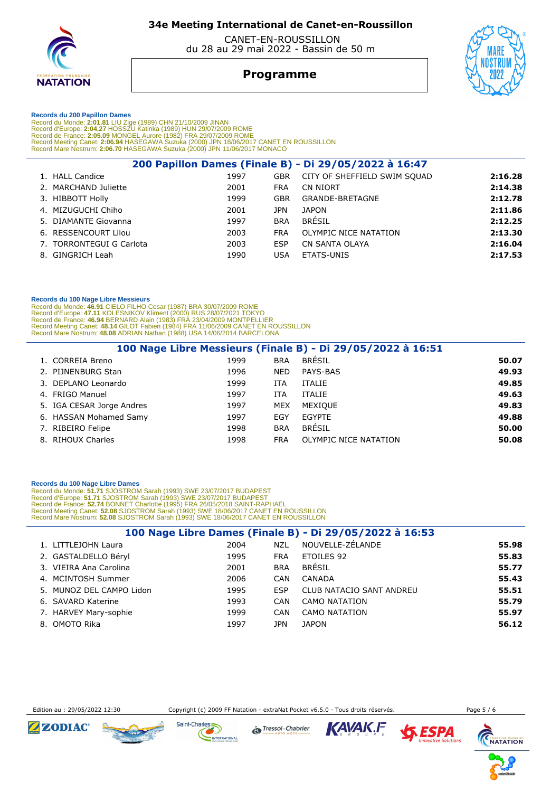

 CANET-EN-ROUSSILLON du 28 au 29 mai 2022 - Bassin de 50 m

## **Programme**



 **Records du 200 Papillon Dames** 

Record du Monde: 2:01.81 LIU Zige (1989) CHN 21/10/2009 JINAN<br>Record d'Europe: 2:04.27 HOSSZU Katinka (1989) HUN 29/07/2009 ROME<br>Record de France: 2:05.09 MONGEL Aurore (1982) FRA 29/07/2009 ROME<br>Record Meeting Canet: 2:06

| 200 Papillon Dames (Finale B) - Di 29/05/2022 à 16:47 |      |            |                              |         |  |  |
|-------------------------------------------------------|------|------------|------------------------------|---------|--|--|
| 1. HALL Candice                                       | 1997 | <b>GBR</b> | CITY OF SHEFFIELD SWIM SOUAD | 2:16.28 |  |  |
| 2. MARCHAND Juliette                                  | 2001 | <b>FRA</b> | CN NIORT                     | 2:14.38 |  |  |
| 3. HIBBOTT Holly                                      | 1999 | GBR        | GRANDE-BRETAGNE              | 2:12.78 |  |  |
| 4. MIZUGUCHI Chiho                                    | 2001 | JPN        | <b>JAPON</b>                 | 2:11.86 |  |  |
| 5. DIAMANTE Giovanna                                  | 1997 | <b>BRA</b> | <b>BRÉSIL</b>                | 2:12.25 |  |  |
| 6. RESSENCOURT Lilou                                  | 2003 | <b>FRA</b> | OLYMPIC NICE NATATION        | 2:13.30 |  |  |
| 7. TORRONTEGUI G Carlota                              | 2003 | ESP        | CN SANTA OLAYA               | 2:16.04 |  |  |
| 8. GINGRICH Leah                                      | 1990 | USA        | <b>ETATS-UNIS</b>            | 2:17.53 |  |  |
|                                                       |      |            |                              |         |  |  |

### **Records du 100 Nage Libre Messieurs**

Record du Monde: 46.91 CIELO FILHO Cesar (1987) BRA 30/07/2009 ROME<br>Record d'Europe: 47.11 KOLESNIKOV Kliment (2000) RUS 28/07/2021 TOKYO<br>Record de France: 46.94 BERNARD Alain (1983) FRA 23/04/2009 MONTPELLIER<br>Record Meeti

| 100 Nage Libre Messieurs (Finale B) - Di 29/05/2022 à 16:51 |      |            |                       |       |  |  |  |  |
|-------------------------------------------------------------|------|------------|-----------------------|-------|--|--|--|--|
| 1. CORREIA Breno                                            | 1999 | <b>BRA</b> | <b>BRÉSIL</b>         | 50.07 |  |  |  |  |
| 2. PIJNENBURG Stan                                          | 1996 | <b>NED</b> | PAYS-BAS              | 49.93 |  |  |  |  |
| 3. DEPLANO Leonardo                                         | 1999 | ITA        | <b>ITALIE</b>         | 49.85 |  |  |  |  |
| 4. FRIGO Manuel                                             | 1997 | ITA        | <b>ITALIE</b>         | 49.63 |  |  |  |  |
| 5. IGA CESAR Jorge Andres                                   | 1997 | <b>MEX</b> | MEXIOUE               | 49.83 |  |  |  |  |
| 6. HASSAN Mohamed Samy                                      | 1997 | EGY        | <b>EGYPTE</b>         | 49.88 |  |  |  |  |
| 7. RIBEIRO Felipe                                           | 1998 | <b>BRA</b> | <b>BRÉSIL</b>         | 50.00 |  |  |  |  |
| 8. RIHOUX Charles                                           | 1998 | <b>FRA</b> | OLYMPIC NICE NATATION | 50.08 |  |  |  |  |

### **Records du 100 Nage Libre Dames**

Record du Monde: 51.71 SJOSTROM Sarah (1993) SWE 23/07/2017 BUDAPEST<br>Record d'Europe: 51.71 SJOSTROM Sarah (1993) SWE 23/07/2017 BUDAPEST<br>Record de France: 52.74 BONNET Charlotte (1995) FRA 26/05/2018 SAINT-RAPHAËL<br>Record

| 100 Nage Libre Dames (Finale B) - Di 29/05/2022 à 16:53 |                          |      |            |                          |       |  |  |  |
|---------------------------------------------------------|--------------------------|------|------------|--------------------------|-------|--|--|--|
|                                                         | 1. LITTLEJOHN Laura      | 2004 | <b>NZL</b> | NOUVELLE-ZÉLANDE         | 55.98 |  |  |  |
|                                                         | 2. GASTALDELLO Béryl     | 1995 | <b>FRA</b> | <b>ETOILES 92</b>        | 55.83 |  |  |  |
|                                                         | 3. VIEIRA Ana Carolina   | 2001 | <b>BRA</b> | BRÉSIL                   | 55.77 |  |  |  |
|                                                         | 4. MCINTOSH Summer       | 2006 | <b>CAN</b> | CANADA                   | 55.43 |  |  |  |
|                                                         | 5. MUNOZ DEL CAMPO Lidon | 1995 | <b>ESP</b> | CLUB NATACIO SANT ANDREU | 55.51 |  |  |  |
|                                                         | 6. SAVARD Katerine       | 1993 | <b>CAN</b> | <b>CAMO NATATION</b>     | 55.79 |  |  |  |
|                                                         | 7. HARVEY Mary-sophie    | 1999 | CAN        | <b>CAMO NATATION</b>     | 55.97 |  |  |  |
|                                                         | 8. OMOTO Rika            | 1997 | JPN        | <b>JAPON</b>             | 56.12 |  |  |  |

Edition au : 29/05/2022 12:30 Copyright (c) 2009 FF Natation - extraNat Pocket v6.5.0 - Tous droits réservés. Page 5 / 6